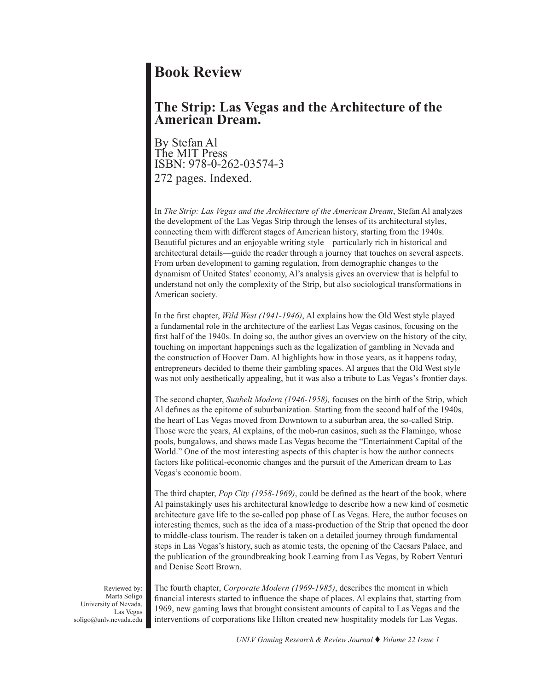## **Book Review**

## **The Strip: Las Vegas and the Architecture of the American Dream.**

By Stefan Al The MIT Press ISBN: 978-0-262-03574-3 272 pages. Indexed.

In *The Strip: Las Vegas and the Architecture of the American Dream*, Stefan Al analyzes the development of the Las Vegas Strip through the lenses of its architectural styles, connecting them with different stages of American history, starting from the 1940s. Beautiful pictures and an enjoyable writing style—particularly rich in historical and architectural details—guide the reader through a journey that touches on several aspects. From urban development to gaming regulation, from demographic changes to the dynamism of United States' economy, Al's analysis gives an overview that is helpful to understand not only the complexity of the Strip, but also sociological transformations in American society.

In the first chapter, *Wild West (1941-1946)*, Al explains how the Old West style played a fundamental role in the architecture of the earliest Las Vegas casinos, focusing on the first half of the 1940s. In doing so, the author gives an overview on the history of the city, touching on important happenings such as the legalization of gambling in Nevada and the construction of Hoover Dam. Al highlights how in those years, as it happens today, entrepreneurs decided to theme their gambling spaces. Al argues that the Old West style was not only aesthetically appealing, but it was also a tribute to Las Vegas's frontier days.

The second chapter, *Sunbelt Modern (1946-1958),* focuses on the birth of the Strip, which Al defines as the epitome of suburbanization. Starting from the second half of the 1940s, the heart of Las Vegas moved from Downtown to a suburban area, the so-called Strip. Those were the years, Al explains, of the mob-run casinos, such as the Flamingo, whose pools, bungalows, and shows made Las Vegas become the "Entertainment Capital of the World." One of the most interesting aspects of this chapter is how the author connects factors like political-economic changes and the pursuit of the American dream to Las Vegas's economic boom.

The third chapter, *Pop City (1958-1969)*, could be defined as the heart of the book, where Al painstakingly uses his architectural knowledge to describe how a new kind of cosmetic architecture gave life to the so-called pop phase of Las Vegas. Here, the author focuses on interesting themes, such as the idea of a mass-production of the Strip that opened the door to middle-class tourism. The reader is taken on a detailed journey through fundamental steps in Las Vegas's history, such as atomic tests, the opening of the Caesars Palace, and the publication of the groundbreaking book Learning from Las Vegas, by Robert Venturi and Denise Scott Brown.

Reviewed by: Marta Soligo University of Nevada, Las Vegas soligo@unlv.nevada.edu The fourth chapter, *Corporate Modern (1969-1985)*, describes the moment in which financial interests started to influence the shape of places. Al explains that, starting from 1969, new gaming laws that brought consistent amounts of capital to Las Vegas and the interventions of corporations like Hilton created new hospitality models for Las Vegas.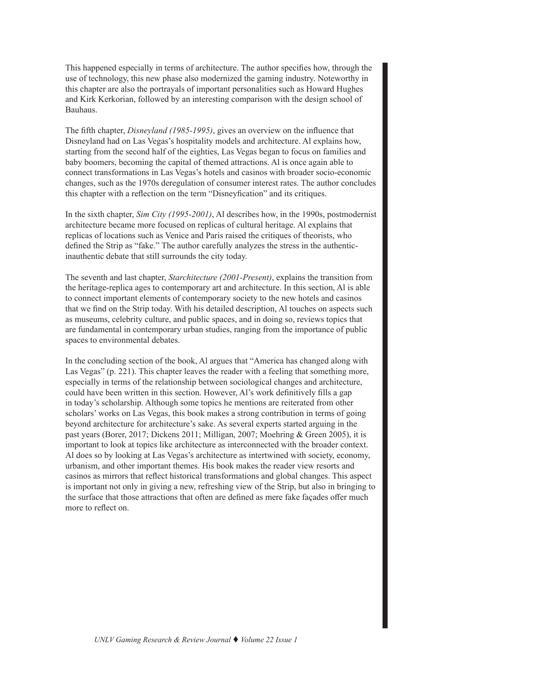This happened especially in terms of architecture. The author specifies how, through the use of technology, this new phase also modernized the gaming industry. Noteworthy in this chapter are also the portrayals of important personalities such as Howard Hughes and Kirk Kerkorian, followed by an interesting comparison with the design school of Bauhaus.

The fifth chapter, *Disneyland (1985-1995)*, gives an overview on the influence that Disneyland had on Las Vegas's hospitality models and architecture. Al explains how, starting from the second half of the eighties, Las Vegas began to focus on families and baby boomers, becoming the capital of themed attractions. Al is once again able to connect transformations in Las Vegas's hotels and casinos with broader socio-economic changes, such as the 1970s deregulation of consumer interest rates. The author concludes this chapter with a reflection on the term "Disneyfication" and its critiques.

In the sixth chapter, *Sim City (1995-2001)*, Al describes how, in the 1990s, postmodernist architecture became more focused on replicas of cultural heritage. Al explains that replicas of locations such as Venice and Paris raised the critiques of theorists, who defined the Strip as "fake." The author carefully analyzes the stress in the authenticinauthentic debate that still surrounds the city today.

The seventh and last chapter, *Starchitecture (2001-Present)*, explains the transition from the heritage-replica ages to contemporary art and architecture. In this section, Al is able to connect important elements of contemporary society to the new hotels and casinos that we find on the Strip today. With his detailed description, Al touches on aspects such as museums, celebrity culture, and public spaces, and in doing so, reviews topics that are fundamental in contemporary urban studies, ranging from the importance of public spaces to environmental debates.

In the concluding section of the book, Al argues that "America has changed along with Las Vegas" (p. 221). This chapter leaves the reader with a feeling that something more, especially in terms of the relationship between sociological changes and architecture, could have been written in this section. However, Al's work definitively fills a gap in today's scholarship. Although some topics he mentions are reiterated from other scholars' works on Las Vegas, this book makes a strong contribution in terms of going beyond architecture for architecture's sake. As several experts started arguing in the past years (Borer, 2017; Dickens 2011; Milligan, 2007; Moehring & Green 2005), it is important to look at topics like architecture as interconnected with the broader context. Al does so by looking at Las Vegas's architecture as intertwined with society, economy, urbanism, and other important themes. His book makes the reader view resorts and casinos as mirrors that reflect historical transformations and global changes. This aspect is important not only in giving a new, refreshing view of the Strip, but also in bringing to the surface that those attractions that often are defined as mere fake façades offer much more to reflect on.